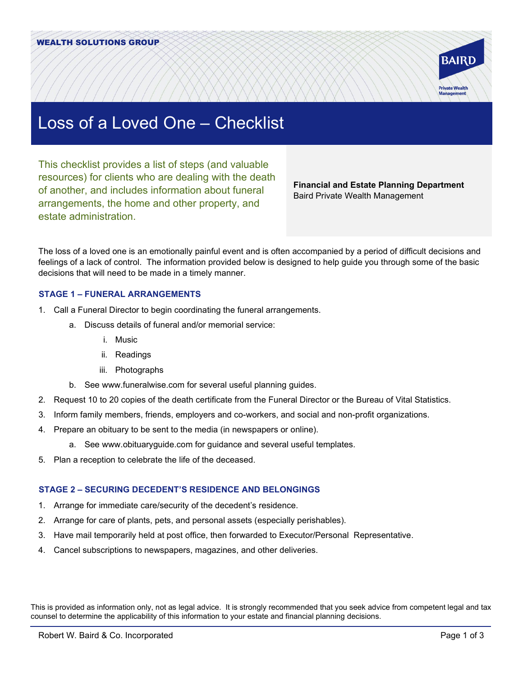

# Loss of a Loved One – Checklist

This checklist provides a list of steps (and valuable resources) for clients who are dealing with the death of another, and includes information about funeral arrangements, the home and other property, and estate administration.

**Financial and Estate Planning Department** Baird Private Wealth Management

The loss of a loved one is an emotionally painful event and is often accompanied by a period of difficult decisions and feelings of a lack of control. The information provided below is designed to help guide you through some of the basic decisions that will need to be made in a timely manner.

# **STAGE 1 – FUNERAL ARRANGEMENTS**

- 1. Call a Funeral Director to begin coordinating the funeral arrangements.
	- a. Discuss details of funeral and/or memorial service:
		- i. Music
		- ii. Readings
		- iii. Photographs
	- b. See www.funeralwise.com for several useful planning guides.
- 2. Request 10 to 20 copies of the death certificate from the Funeral Director or the Bureau of Vital Statistics.
- 3. Inform family members, friends, employers and co-workers, and social and non-profit organizations.
- 4. Prepare an obituary to be sent to the media (in newspapers or online).
	- a. See www.obituaryguide.com for guidance and several useful templates.
- 5. Plan a reception to celebrate the life of the deceased.

# **STAGE 2 – SECURING DECEDENT'S RESIDENCE AND BELONGINGS**

- 1. Arrange for immediate care/security of the decedent's residence.
- 2. Arrange for care of plants, pets, and personal assets (especially perishables).
- 3. Have mail temporarily held at post office, then forwarded to Executor/Personal Representative.
- 4. Cancel subscriptions to newspapers, magazines, and other deliveries.

This is provided as information only, not as legal advice. It is strongly recommended that you seek advice from competent legal and tax counsel to determine the applicability of this information to your estate and financial planning decisions.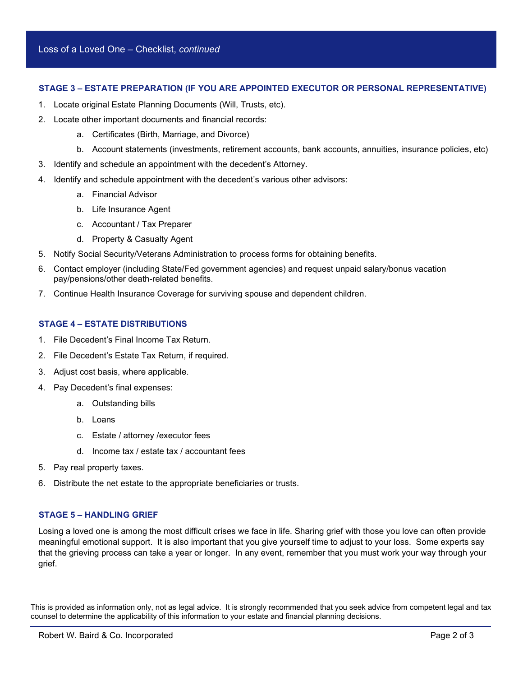## **STAGE 3 – ESTATE PREPARATION (IF YOU ARE APPOINTED EXECUTOR OR PERSONAL REPRESENTATIVE)**

- 1. Locate original Estate Planning Documents (Will, Trusts, etc).
- 2. Locate other important documents and financial records:
	- a. Certificates (Birth, Marriage, and Divorce)
	- b. Account statements (investments, retirement accounts, bank accounts, annuities, insurance policies, etc)
- 3. Identify and schedule an appointment with the decedent's Attorney.
- 4. Identify and schedule appointment with the decedent's various other advisors:
	- a. Financial Advisor
	- b. Life Insurance Agent
	- c. Accountant / Tax Preparer
	- d. Property & Casualty Agent
- 5. Notify Social Security/Veterans Administration to process forms for obtaining benefits.
- 6. Contact employer (including State/Fed government agencies) and request unpaid salary/bonus vacation pay/pensions/other death-related benefits.
- 7. Continue Health Insurance Coverage for surviving spouse and dependent children.

# **STAGE 4 – ESTATE DISTRIBUTIONS**

- 1. File Decedent's Final Income Tax Return.
- 2. File Decedent's Estate Tax Return, if required.
- 3. Adjust cost basis, where applicable.
- 4. Pay Decedent's final expenses:
	- a. Outstanding bills
	- b. Loans
	- c. Estate / attorney /executor fees
	- d. Income tax / estate tax / accountant fees
- 5. Pay real property taxes.
- 6. Distribute the net estate to the appropriate beneficiaries or trusts.

# **STAGE 5 – HANDLING GRIEF**

Losing a loved one is among the most difficult crises we face in life. Sharing grief with those you love can often provide meaningful emotional support. It is also important that you give yourself time to adjust to your loss. Some experts say that the grieving process can take a year or longer. In any event, remember that you must work your way through your grief.

This is provided as information only, not as legal advice. It is strongly recommended that you seek advice from competent legal and tax counsel to determine the applicability of this information to your estate and financial planning decisions.